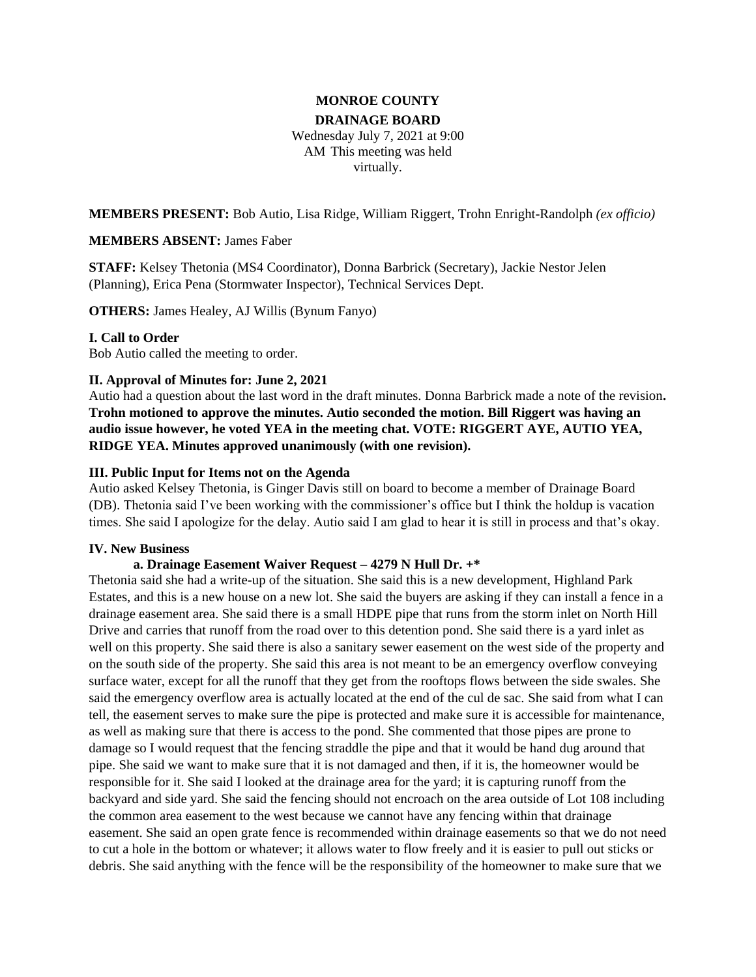# **MONROE COUNTY**

#### **DRAINAGE BOARD**

Wednesday July 7, 2021 at 9:00 AM This meeting was held virtually.

**MEMBERS PRESENT:** Bob Autio, Lisa Ridge, William Riggert, Trohn Enright-Randolph *(ex officio)*

### **MEMBERS ABSENT:** James Faber

**STAFF:** Kelsey Thetonia (MS4 Coordinator), Donna Barbrick (Secretary), Jackie Nestor Jelen (Planning), Erica Pena (Stormwater Inspector), Technical Services Dept.

**OTHERS:** James Healey, AJ Willis (Bynum Fanyo)

### **I. Call to Order**

Bob Autio called the meeting to order.

### **II. Approval of Minutes for: June 2, 2021**

Autio had a question about the last word in the draft minutes. Donna Barbrick made a note of the revision**. Trohn motioned to approve the minutes. Autio seconded the motion. Bill Riggert was having an audio issue however, he voted YEA in the meeting chat. VOTE: RIGGERT AYE, AUTIO YEA, RIDGE YEA. Minutes approved unanimously (with one revision).** 

### **III. Public Input for Items not on the Agenda**

Autio asked Kelsey Thetonia, is Ginger Davis still on board to become a member of Drainage Board (DB). Thetonia said I've been working with the commissioner's office but I think the holdup is vacation times. She said I apologize for the delay. Autio said I am glad to hear it is still in process and that's okay.

### **IV. New Business**

### **a. Drainage Easement Waiver Request – 4279 N Hull Dr. +\***

Thetonia said she had a write-up of the situation. She said this is a new development, Highland Park Estates, and this is a new house on a new lot. She said the buyers are asking if they can install a fence in a drainage easement area. She said there is a small HDPE pipe that runs from the storm inlet on North Hill Drive and carries that runoff from the road over to this detention pond. She said there is a yard inlet as well on this property. She said there is also a sanitary sewer easement on the west side of the property and on the south side of the property. She said this area is not meant to be an emergency overflow conveying surface water, except for all the runoff that they get from the rooftops flows between the side swales. She said the emergency overflow area is actually located at the end of the cul de sac. She said from what I can tell, the easement serves to make sure the pipe is protected and make sure it is accessible for maintenance, as well as making sure that there is access to the pond. She commented that those pipes are prone to damage so I would request that the fencing straddle the pipe and that it would be hand dug around that pipe. She said we want to make sure that it is not damaged and then, if it is, the homeowner would be responsible for it. She said I looked at the drainage area for the yard; it is capturing runoff from the backyard and side yard. She said the fencing should not encroach on the area outside of Lot 108 including the common area easement to the west because we cannot have any fencing within that drainage easement. She said an open grate fence is recommended within drainage easements so that we do not need to cut a hole in the bottom or whatever; it allows water to flow freely and it is easier to pull out sticks or debris. She said anything with the fence will be the responsibility of the homeowner to make sure that we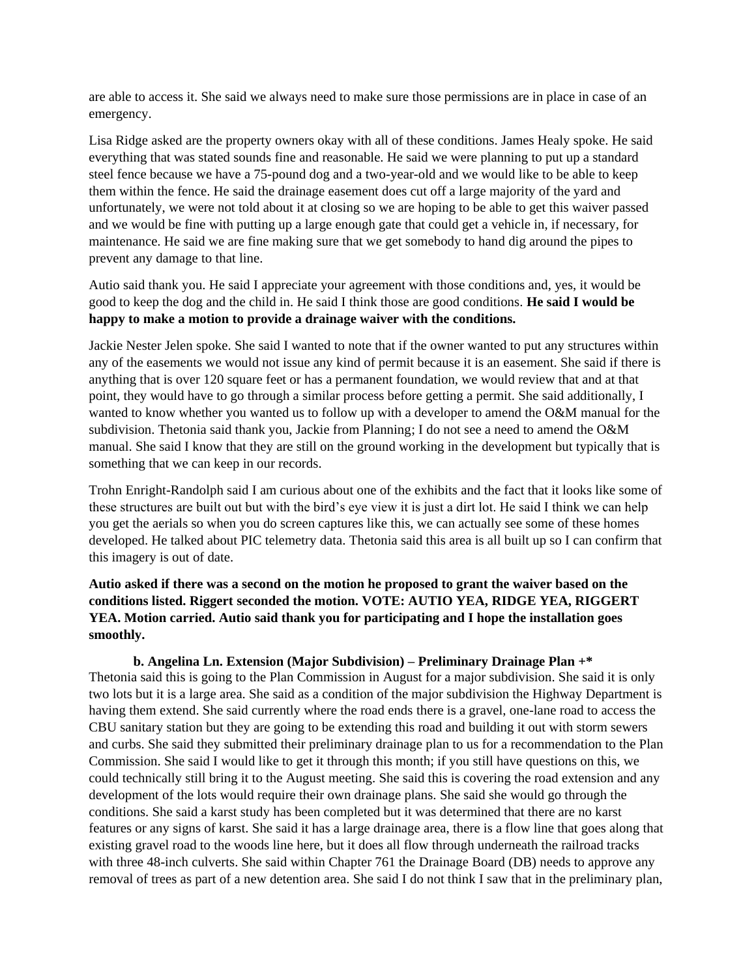are able to access it. She said we always need to make sure those permissions are in place in case of an emergency.

Lisa Ridge asked are the property owners okay with all of these conditions. James Healy spoke. He said everything that was stated sounds fine and reasonable. He said we were planning to put up a standard steel fence because we have a 75-pound dog and a two-year-old and we would like to be able to keep them within the fence. He said the drainage easement does cut off a large majority of the yard and unfortunately, we were not told about it at closing so we are hoping to be able to get this waiver passed and we would be fine with putting up a large enough gate that could get a vehicle in, if necessary, for maintenance. He said we are fine making sure that we get somebody to hand dig around the pipes to prevent any damage to that line.

Autio said thank you. He said I appreciate your agreement with those conditions and, yes, it would be good to keep the dog and the child in. He said I think those are good conditions. **He said I would be happy to make a motion to provide a drainage waiver with the conditions.** 

Jackie Nester Jelen spoke. She said I wanted to note that if the owner wanted to put any structures within any of the easements we would not issue any kind of permit because it is an easement. She said if there is anything that is over 120 square feet or has a permanent foundation, we would review that and at that point, they would have to go through a similar process before getting a permit. She said additionally, I wanted to know whether you wanted us to follow up with a developer to amend the O&M manual for the subdivision. Thetonia said thank you, Jackie from Planning; I do not see a need to amend the O&M manual. She said I know that they are still on the ground working in the development but typically that is something that we can keep in our records.

Trohn Enright-Randolph said I am curious about one of the exhibits and the fact that it looks like some of these structures are built out but with the bird's eye view it is just a dirt lot. He said I think we can help you get the aerials so when you do screen captures like this, we can actually see some of these homes developed. He talked about PIC telemetry data. Thetonia said this area is all built up so I can confirm that this imagery is out of date.

**Autio asked if there was a second on the motion he proposed to grant the waiver based on the conditions listed. Riggert seconded the motion. VOTE: AUTIO YEA, RIDGE YEA, RIGGERT YEA. Motion carried. Autio said thank you for participating and I hope the installation goes smoothly.** 

**b. Angelina Ln. Extension (Major Subdivision) – Preliminary Drainage Plan +\*** Thetonia said this is going to the Plan Commission in August for a major subdivision. She said it is only two lots but it is a large area. She said as a condition of the major subdivision the Highway Department is having them extend. She said currently where the road ends there is a gravel, one-lane road to access the CBU sanitary station but they are going to be extending this road and building it out with storm sewers and curbs. She said they submitted their preliminary drainage plan to us for a recommendation to the Plan Commission. She said I would like to get it through this month; if you still have questions on this, we could technically still bring it to the August meeting. She said this is covering the road extension and any development of the lots would require their own drainage plans. She said she would go through the conditions. She said a karst study has been completed but it was determined that there are no karst features or any signs of karst. She said it has a large drainage area, there is a flow line that goes along that existing gravel road to the woods line here, but it does all flow through underneath the railroad tracks with three 48-inch culverts. She said within Chapter 761 the Drainage Board (DB) needs to approve any removal of trees as part of a new detention area. She said I do not think I saw that in the preliminary plan,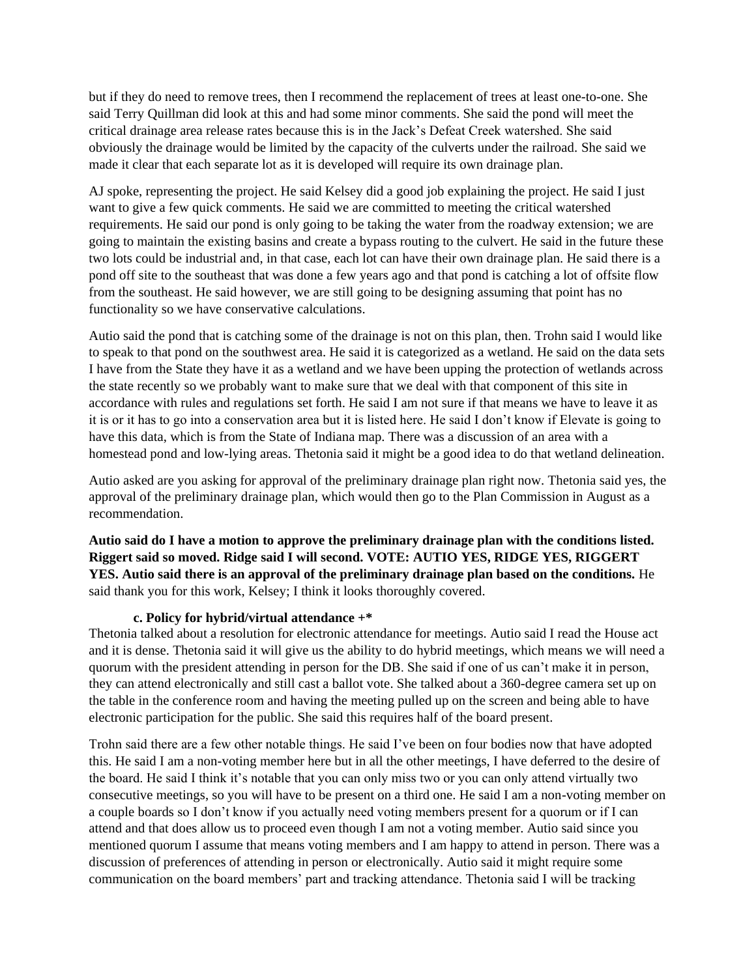but if they do need to remove trees, then I recommend the replacement of trees at least one-to-one. She said Terry Quillman did look at this and had some minor comments. She said the pond will meet the critical drainage area release rates because this is in the Jack's Defeat Creek watershed. She said obviously the drainage would be limited by the capacity of the culverts under the railroad. She said we made it clear that each separate lot as it is developed will require its own drainage plan.

AJ spoke, representing the project. He said Kelsey did a good job explaining the project. He said I just want to give a few quick comments. He said we are committed to meeting the critical watershed requirements. He said our pond is only going to be taking the water from the roadway extension; we are going to maintain the existing basins and create a bypass routing to the culvert. He said in the future these two lots could be industrial and, in that case, each lot can have their own drainage plan. He said there is a pond off site to the southeast that was done a few years ago and that pond is catching a lot of offsite flow from the southeast. He said however, we are still going to be designing assuming that point has no functionality so we have conservative calculations.

Autio said the pond that is catching some of the drainage is not on this plan, then. Trohn said I would like to speak to that pond on the southwest area. He said it is categorized as a wetland. He said on the data sets I have from the State they have it as a wetland and we have been upping the protection of wetlands across the state recently so we probably want to make sure that we deal with that component of this site in accordance with rules and regulations set forth. He said I am not sure if that means we have to leave it as it is or it has to go into a conservation area but it is listed here. He said I don't know if Elevate is going to have this data, which is from the State of Indiana map. There was a discussion of an area with a homestead pond and low-lying areas. Thetonia said it might be a good idea to do that wetland delineation.

Autio asked are you asking for approval of the preliminary drainage plan right now. Thetonia said yes, the approval of the preliminary drainage plan, which would then go to the Plan Commission in August as a recommendation.

**Autio said do I have a motion to approve the preliminary drainage plan with the conditions listed. Riggert said so moved. Ridge said I will second. VOTE: AUTIO YES, RIDGE YES, RIGGERT YES. Autio said there is an approval of the preliminary drainage plan based on the conditions.** He said thank you for this work, Kelsey; I think it looks thoroughly covered.

### **c. Policy for hybrid/virtual attendance +\***

Thetonia talked about a resolution for electronic attendance for meetings. Autio said I read the House act and it is dense. Thetonia said it will give us the ability to do hybrid meetings, which means we will need a quorum with the president attending in person for the DB. She said if one of us can't make it in person, they can attend electronically and still cast a ballot vote. She talked about a 360-degree camera set up on the table in the conference room and having the meeting pulled up on the screen and being able to have electronic participation for the public. She said this requires half of the board present.

Trohn said there are a few other notable things. He said I've been on four bodies now that have adopted this. He said I am a non-voting member here but in all the other meetings, I have deferred to the desire of the board. He said I think it's notable that you can only miss two or you can only attend virtually two consecutive meetings, so you will have to be present on a third one. He said I am a non-voting member on a couple boards so I don't know if you actually need voting members present for a quorum or if I can attend and that does allow us to proceed even though I am not a voting member. Autio said since you mentioned quorum I assume that means voting members and I am happy to attend in person. There was a discussion of preferences of attending in person or electronically. Autio said it might require some communication on the board members' part and tracking attendance. Thetonia said I will be tracking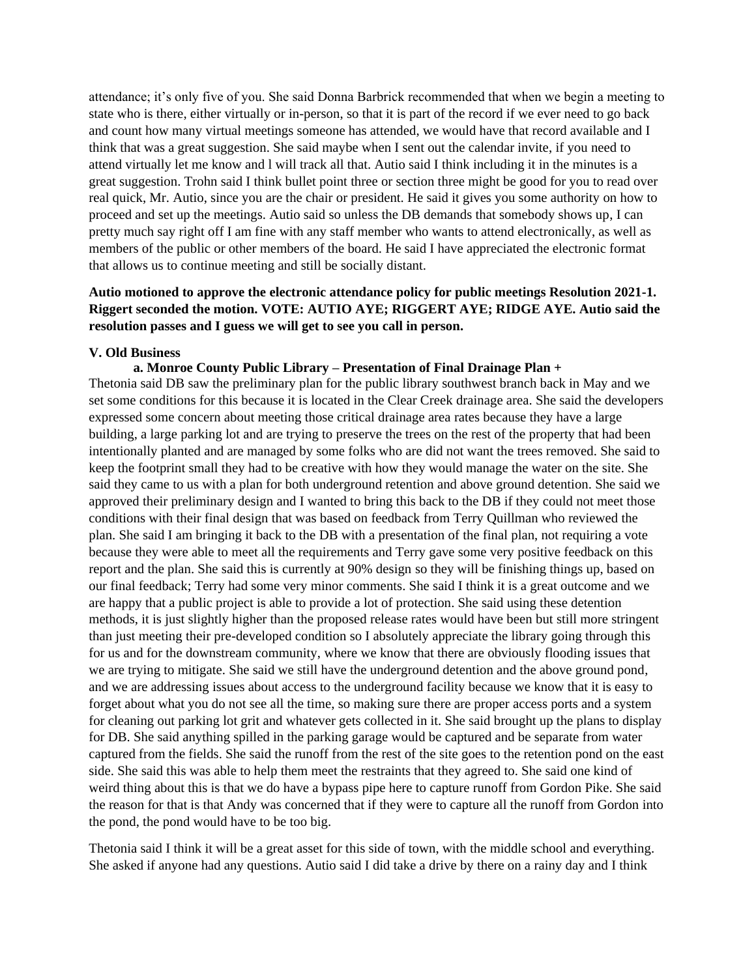attendance; it's only five of you. She said Donna Barbrick recommended that when we begin a meeting to state who is there, either virtually or in-person, so that it is part of the record if we ever need to go back and count how many virtual meetings someone has attended, we would have that record available and I think that was a great suggestion. She said maybe when I sent out the calendar invite, if you need to attend virtually let me know and l will track all that. Autio said I think including it in the minutes is a great suggestion. Trohn said I think bullet point three or section three might be good for you to read over real quick, Mr. Autio, since you are the chair or president. He said it gives you some authority on how to proceed and set up the meetings. Autio said so unless the DB demands that somebody shows up, I can pretty much say right off I am fine with any staff member who wants to attend electronically, as well as members of the public or other members of the board. He said I have appreciated the electronic format that allows us to continue meeting and still be socially distant.

## **Autio motioned to approve the electronic attendance policy for public meetings Resolution 2021-1. Riggert seconded the motion. VOTE: AUTIO AYE; RIGGERT AYE; RIDGE AYE. Autio said the resolution passes and I guess we will get to see you call in person.**

### **V. Old Business**

### **a. Monroe County Public Library – Presentation of Final Drainage Plan +**

Thetonia said DB saw the preliminary plan for the public library southwest branch back in May and we set some conditions for this because it is located in the Clear Creek drainage area. She said the developers expressed some concern about meeting those critical drainage area rates because they have a large building, a large parking lot and are trying to preserve the trees on the rest of the property that had been intentionally planted and are managed by some folks who are did not want the trees removed. She said to keep the footprint small they had to be creative with how they would manage the water on the site. She said they came to us with a plan for both underground retention and above ground detention. She said we approved their preliminary design and I wanted to bring this back to the DB if they could not meet those conditions with their final design that was based on feedback from Terry Quillman who reviewed the plan. She said I am bringing it back to the DB with a presentation of the final plan, not requiring a vote because they were able to meet all the requirements and Terry gave some very positive feedback on this report and the plan. She said this is currently at 90% design so they will be finishing things up, based on our final feedback; Terry had some very minor comments. She said I think it is a great outcome and we are happy that a public project is able to provide a lot of protection. She said using these detention methods, it is just slightly higher than the proposed release rates would have been but still more stringent than just meeting their pre-developed condition so I absolutely appreciate the library going through this for us and for the downstream community, where we know that there are obviously flooding issues that we are trying to mitigate. She said we still have the underground detention and the above ground pond, and we are addressing issues about access to the underground facility because we know that it is easy to forget about what you do not see all the time, so making sure there are proper access ports and a system for cleaning out parking lot grit and whatever gets collected in it. She said brought up the plans to display for DB. She said anything spilled in the parking garage would be captured and be separate from water captured from the fields. She said the runoff from the rest of the site goes to the retention pond on the east side. She said this was able to help them meet the restraints that they agreed to. She said one kind of weird thing about this is that we do have a bypass pipe here to capture runoff from Gordon Pike. She said the reason for that is that Andy was concerned that if they were to capture all the runoff from Gordon into the pond, the pond would have to be too big.

Thetonia said I think it will be a great asset for this side of town, with the middle school and everything. She asked if anyone had any questions. Autio said I did take a drive by there on a rainy day and I think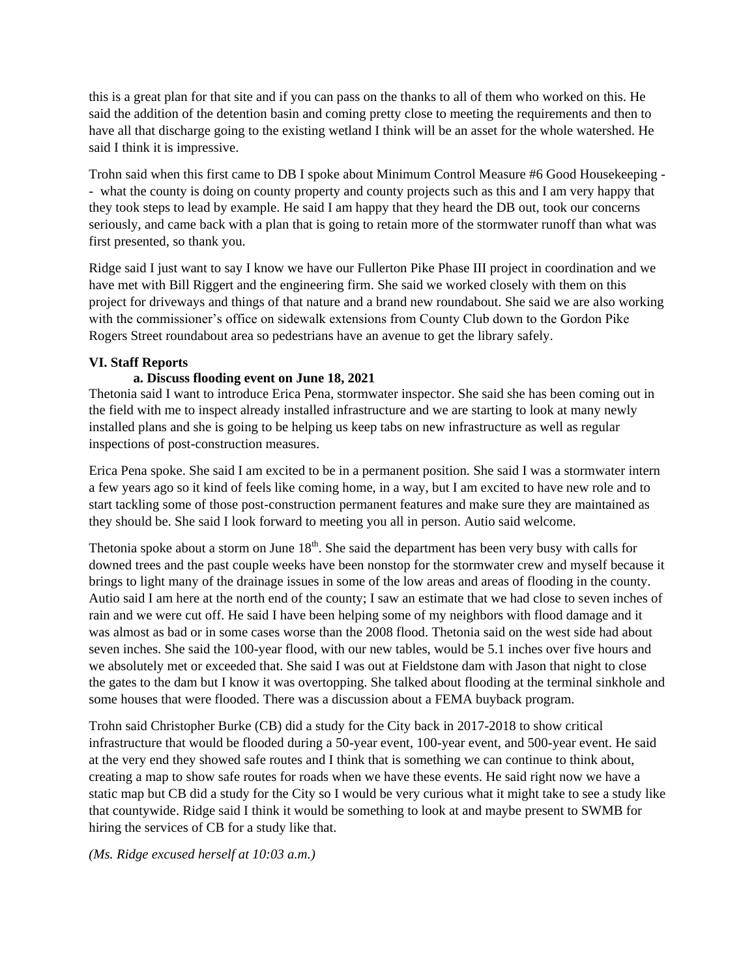this is a great plan for that site and if you can pass on the thanks to all of them who worked on this. He said the addition of the detention basin and coming pretty close to meeting the requirements and then to have all that discharge going to the existing wetland I think will be an asset for the whole watershed. He said I think it is impressive.

Trohn said when this first came to DB I spoke about Minimum Control Measure #6 Good Housekeeping - - what the county is doing on county property and county projects such as this and I am very happy that they took steps to lead by example. He said I am happy that they heard the DB out, took our concerns seriously, and came back with a plan that is going to retain more of the stormwater runoff than what was first presented, so thank you.

Ridge said I just want to say I know we have our Fullerton Pike Phase III project in coordination and we have met with Bill Riggert and the engineering firm. She said we worked closely with them on this project for driveways and things of that nature and a brand new roundabout. She said we are also working with the commissioner's office on sidewalk extensions from County Club down to the Gordon Pike Rogers Street roundabout area so pedestrians have an avenue to get the library safely.

### **VI. Staff Reports**

### **a. Discuss flooding event on June 18, 2021**

Thetonia said I want to introduce Erica Pena, stormwater inspector. She said she has been coming out in the field with me to inspect already installed infrastructure and we are starting to look at many newly installed plans and she is going to be helping us keep tabs on new infrastructure as well as regular inspections of post-construction measures.

Erica Pena spoke. She said I am excited to be in a permanent position. She said I was a stormwater intern a few years ago so it kind of feels like coming home, in a way, but I am excited to have new role and to start tackling some of those post-construction permanent features and make sure they are maintained as they should be. She said I look forward to meeting you all in person. Autio said welcome.

Thetonia spoke about a storm on June  $18<sup>th</sup>$ . She said the department has been very busy with calls for downed trees and the past couple weeks have been nonstop for the stormwater crew and myself because it brings to light many of the drainage issues in some of the low areas and areas of flooding in the county. Autio said I am here at the north end of the county; I saw an estimate that we had close to seven inches of rain and we were cut off. He said I have been helping some of my neighbors with flood damage and it was almost as bad or in some cases worse than the 2008 flood. Thetonia said on the west side had about seven inches. She said the 100-year flood, with our new tables, would be 5.1 inches over five hours and we absolutely met or exceeded that. She said I was out at Fieldstone dam with Jason that night to close the gates to the dam but I know it was overtopping. She talked about flooding at the terminal sinkhole and some houses that were flooded. There was a discussion about a FEMA buyback program.

Trohn said Christopher Burke (CB) did a study for the City back in 2017-2018 to show critical infrastructure that would be flooded during a 50-year event, 100-year event, and 500-year event. He said at the very end they showed safe routes and I think that is something we can continue to think about, creating a map to show safe routes for roads when we have these events. He said right now we have a static map but CB did a study for the City so I would be very curious what it might take to see a study like that countywide. Ridge said I think it would be something to look at and maybe present to SWMB for hiring the services of CB for a study like that.

### *(Ms. Ridge excused herself at 10:03 a.m.)*